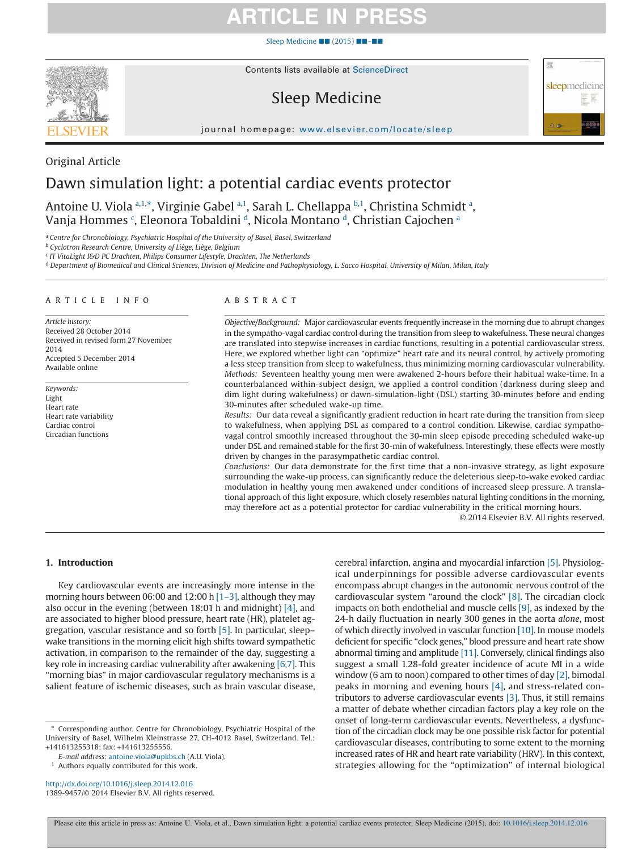[Sleep Medicine](http://dx.doi.org/10.1016/j.sleep.2014.12.016) ■■ (2015) ■■–■■



Contents lists available at [ScienceDirect](http://www.sciencedirect.com/science/journal/13899457)

## Sleep Medicine



journal homepage: [www.elsevier.com/locate/sleep](http://www.elsevier.com/locate/SLEEP)

### Original Article Dawn simulation light: a potential cardiac events protector

Antoine U. Viola <sup>[a,](#page-0-0)1,\*</sup>, Virginie Gabel <sup>a,1</sup>, Sarah L. Chellappa <sup>[b,](#page-0-1)1</sup>, Christin[a](#page-0-0) Schmidt <sup>a</sup>, Vanja Hommes <sup>[c](#page-0-2)</sup>, Eleonor[a](#page-0-0) Tobaldini <sup>d</sup>, Nicola Montano <sup>d</sup>, Christian Cajochen <sup>a</sup>

<span id="page-0-0"></span><sup>a</sup> *Centre for Chronobiology, Psychiatric Hospital of the University of Basel, Basel, Switzerland*

<span id="page-0-1"></span><sup>b</sup> *Cyclotron Research Centre, University of Liège, Liège, Belgium*

<span id="page-0-2"></span><sup>c</sup> *IT VitaLight I&D PC Drachten, Philips Consumer Lifestyle, Drachten, The Netherlands*

<span id="page-0-3"></span><sup>d</sup> *Department of Biomedical and Clinical Sciences, Division of Medicine and Pathophysiology, L. Sacco Hospital, University of Milan, Milan, Italy*

#### ARTICLE INFO

*Article history:* Received 28 October 2014 Received in revised form 27 November 2014 Accepted 5 December 2014 Available online

*Keywords:* Light Heart rate Heart rate variability Cardiac control Circadian functions

#### ABSTRACT

*Objective/Background:* Major cardiovascular events frequently increase in the morning due to abrupt changes in the sympatho-vagal cardiac control during the transition from sleep to wakefulness. These neural changes are translated into stepwise increases in cardiac functions, resulting in a potential cardiovascular stress. Here, we explored whether light can "optimize" heart rate and its neural control, by actively promoting a less steep transition from sleep to wakefulness, thus minimizing morning cardiovascular vulnerability. *Methods:* Seventeen healthy young men were awakened 2-hours before their habitual wake-time. In a counterbalanced within-subject design, we applied a control condition (darkness during sleep and dim light during wakefulness) or dawn-simulation-light (DSL) starting 30-minutes before and ending 30-minutes after scheduled wake-up time.

*Results:* Our data reveal a significantly gradient reduction in heart rate during the transition from sleep to wakefulness, when applying DSL as compared to a control condition. Likewise, cardiac sympathovagal control smoothly increased throughout the 30-min sleep episode preceding scheduled wake-up under DSL and remained stable for the first 30-min of wakefulness. Interestingly, these effects were mostly driven by changes in the parasympathetic cardiac control.

*Conclusions:* Our data demonstrate for the first time that a non-invasive strategy, as light exposure surrounding the wake-up process, can significantly reduce the deleterious sleep-to-wake evoked cardiac modulation in healthy young men awakened under conditions of increased sleep pressure. A translational approach of this light exposure, which closely resembles natural lighting conditions in the morning, may therefore act as a potential protector for cardiac vulnerability in the critical morning hours.

© 2014 Elsevier B.V. All rights reserved.

#### **1. Introduction**

Key cardiovascular events are increasingly more intense in the morning hours between 06:00 and 12:00 h [1-3], although they may also occur in the evening (between 18:01 h and midnight) [\[4\],](#page-3-1) and are associated to higher blood pressure, heart rate (HR), platelet aggregation, vascular resistance and so forth [\[5\].](#page-3-2) In particular, sleep– wake transitions in the morning elicit high shifts toward sympathetic activation, in comparison to the remainder of the day, suggesting a key role in increasing cardiac vulnerability after awakening [\[6,7\].](#page-3-3) This "morning bias" in major cardiovascular regulatory mechanisms is a salient feature of ischemic diseases, such as brain vascular disease,

<sup>1</sup> Authors equally contributed for this work.

http://dx.doi.org/10.1016/j.sleep.2014.12.016 1389-9457/© 2014 Elsevier B.V. All rights reserved. cerebral infarction, angina and myocardial infarction [\[5\].](#page-3-2) Physiological underpinnings for possible adverse cardiovascular events encompass abrupt changes in the autonomic nervous control of the cardiovascular system "around the clock" [\[8\].](#page-3-4) The circadian clock impacts on both endothelial and muscle cells [\[9\],](#page-3-5) as indexed by the 24-h daily fluctuation in nearly 300 genes in the aorta *alone*, most of which directly involved in vascular function [\[10\].](#page-3-6) In mouse models deficient for specific "clock genes," blood pressure and heart rate show abnormal timing and amplitude [\[11\].](#page-3-7) Conversely, clinical findings also suggest a small 1.28-fold greater incidence of acute MI in a wide window (6 am to noon) compared to other times of day [\[2\],](#page-3-8) bimodal peaks in morning and evening hours [\[4\],](#page-3-1) and stress-related contributors to adverse cardiovascular events [\[3\].](#page-3-9) Thus, it still remains a matter of debate whether circadian factors play a key role on the onset of long-term cardiovascular events. Nevertheless, a dysfunction of the circadian clock may be one possible risk factor for potential cardiovascular diseases, contributing to some extent to the morning increased rates of HR and heart rate variability (HRV). In this context, strategies allowing for the "optimization" of internal biological

<sup>\*</sup> Corresponding author. Centre for Chronobiology, Psychiatric Hospital of the University of Basel, Wilhelm Kleinstrasse 27, CH-4012 Basel, Switzerland. Tel.: +141613255318; fax: +141613255556.

*E-mail address:* [antoine.viola@upkbs.ch](mailto:antoine.viola@upkbs.ch) (A.U. Viola).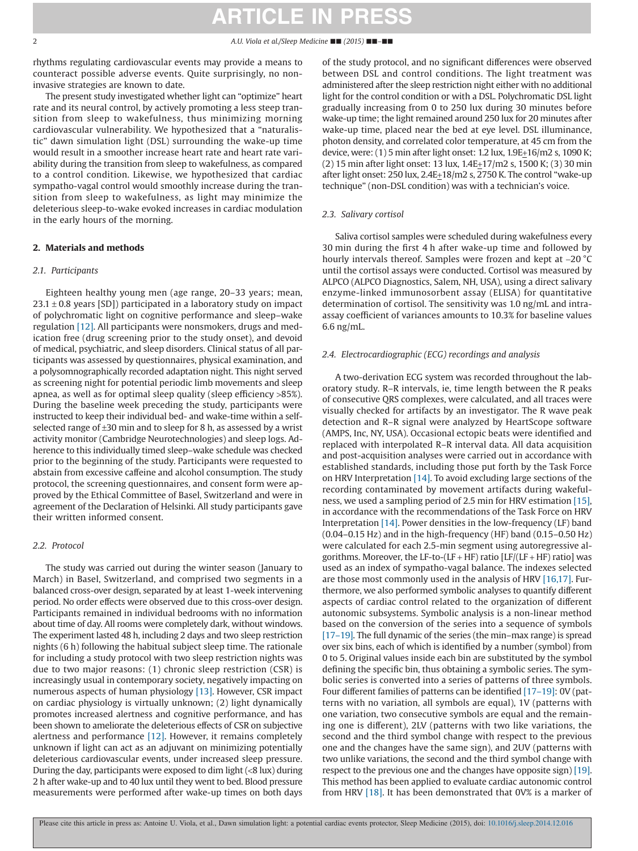rhythms regulating cardiovascular events may provide a means to counteract possible adverse events. Quite surprisingly, no noninvasive strategies are known to date.

The present study investigated whether light can "optimize" heart rate and its neural control, by actively promoting a less steep transition from sleep to wakefulness, thus minimizing morning cardiovascular vulnerability. We hypothesized that a "naturalistic" dawn simulation light (DSL) surrounding the wake-up time would result in a smoother increase heart rate and heart rate variability during the transition from sleep to wakefulness, as compared to a control condition. Likewise, we hypothesized that cardiac sympatho-vagal control would smoothly increase during the transition from sleep to wakefulness, as light may minimize the deleterious sleep-to-wake evoked increases in cardiac modulation in the early hours of the morning.

### **2. Materials and methods**

#### *2.1. Participants*

Eighteen healthy young men (age range, 20–33 years; mean,  $23.1 \pm 0.8$  years [SD]) participated in a laboratory study on impact of polychromatic light on cognitive performance and sleep–wake regulation [\[12\].](#page-3-10) All participants were nonsmokers, drugs and medication free (drug screening prior to the study onset), and devoid of medical, psychiatric, and sleep disorders. Clinical status of all participants was assessed by questionnaires, physical examination, and a polysomnographically recorded adaptation night. This night served as screening night for potential periodic limb movements and sleep apnea, as well as for optimal sleep quality (sleep efficiency >85%). During the baseline week preceding the study, participants were instructed to keep their individual bed- and wake-time within a selfselected range of  $\pm 30$  min and to sleep for 8 h, as assessed by a wrist activity monitor (Cambridge Neurotechnologies) and sleep logs. Adherence to this individually timed sleep–wake schedule was checked prior to the beginning of the study. Participants were requested to abstain from excessive caffeine and alcohol consumption. The study protocol, the screening questionnaires, and consent form were approved by the Ethical Committee of Basel, Switzerland and were in agreement of the Declaration of Helsinki. All study participants gave their written informed consent.

### *2.2. Protocol*

The study was carried out during the winter season (January to March) in Basel, Switzerland, and comprised two segments in a balanced cross-over design, separated by at least 1-week intervening period. No order effects were observed due to this cross-over design. Participants remained in individual bedrooms with no information about time of day. All rooms were completely dark, without windows. The experiment lasted 48 h, including 2 days and two sleep restriction nights (6 h) following the habitual subject sleep time. The rationale for including a study protocol with two sleep restriction nights was due to two major reasons: (1) chronic sleep restriction (CSR) is increasingly usual in contemporary society, negatively impacting on numerous aspects of human physiology [\[13\].](#page-3-11) However, CSR impact on cardiac physiology is virtually unknown; (2) light dynamically promotes increased alertness and cognitive performance, and has been shown to ameliorate the deleterious effects of CSR on subjective alertness and performance [\[12\].](#page-3-10) However, it remains completely unknown if light can act as an adjuvant on minimizing potentially deleterious cardiovascular events, under increased sleep pressure. During the day, participants were exposed to dim light (<8 lux) during 2 h after wake-up and to 40 lux until they went to bed. Blood pressure measurements were performed after wake-up times on both days

of the study protocol, and no significant differences were observed between DSL and control conditions. The light treatment was administered after the sleep restriction night either with no additional light for the control condition or with a DSL. Polychromatic DSL light gradually increasing from 0 to 250 lux during 30 minutes before wake-up time; the light remained around 250 lux for 20 minutes after wake-up time, placed near the bed at eye level. DSL illuminance, photon density, and correlated color temperature, at 45 cm from the device, were: (1) 5 min after light onset: 1.2 lux, 1.9E+16/m2 s, 1090 K; (2) 15 min after light onset: 13 lux, 1.4E+17/m2 s, 1500 K; (3) 30 min after light onset: 250 lux, 2.4E+18/m2 s, 2750 K. The control "wake-up technique" (non-DSL condition) was with a technician's voice.

### *2.3. Salivary cortisol*

Saliva cortisol samples were scheduled during wakefulness every 30 min during the first 4 h after wake-up time and followed by hourly intervals thereof. Samples were frozen and kept at −20 °C until the cortisol assays were conducted. Cortisol was measured by ALPCO (ALPCO Diagnostics, Salem, NH, USA), using a direct salivary enzyme-linked immunosorbent assay (ELISA) for quantitative determination of cortisol. The sensitivity was 1.0 ng/mL and intraassay coefficient of variances amounts to 10.3% for baseline values 6.6 ng/mL.

### *2.4. Electrocardiographic (ECG) recordings and analysis*

A two-derivation ECG system was recorded throughout the laboratory study. R–R intervals, ie, time length between the R peaks of consecutive QRS complexes, were calculated, and all traces were visually checked for artifacts by an investigator. The R wave peak detection and R–R signal were analyzed by HeartScope software (AMPS, Inc, NY, USA). Occasional ectopic beats were identified and replaced with interpolated R–R interval data. All data acquisition and post-acquisition analyses were carried out in accordance with established standards, including those put forth by the Task Force on HRV Interpretation [\[14\].](#page-3-12) To avoid excluding large sections of the recording contaminated by movement artifacts during wakefulness, we used a sampling period of 2.5 min for HRV estimation [\[15\],](#page-3-13) in accordance with the recommendations of the Task Force on HRV Interpretation [\[14\].](#page-3-12) Power densities in the low-frequency (LF) band (0.04–0.15 Hz) and in the high-frequency (HF) band (0.15–0.50 Hz) were calculated for each 2.5-min segment using autoregressive algorithms. Moreover, the LF-to-(LF + HF) ratio [LF/(LF + HF) ratio] was used as an index of sympatho-vagal balance. The indexes selected are those most commonly used in the analysis of HRV [\[16,17\].](#page-4-0) Furthermore, we also performed symbolic analyses to quantify different aspects of cardiac control related to the organization of different autonomic subsystems. Symbolic analysis is a non-linear method based on the conversion of the series into a sequence of symbols [\[17–19\].](#page-4-1) The full dynamic of the series (the min–max range) is spread over six bins, each of which is identified by a number (symbol) from 0 to 5. Original values inside each bin are substituted by the symbol defining the specific bin, thus obtaining a symbolic series. The symbolic series is converted into a series of patterns of three symbols. Four different families of patterns can be identified [\[17–19\]:](#page-4-1) 0V (patterns with no variation, all symbols are equal), 1V (patterns with one variation, two consecutive symbols are equal and the remaining one is different), 2LV (patterns with two like variations, the second and the third symbol change with respect to the previous one and the changes have the same sign), and 2UV (patterns with two unlike variations, the second and the third symbol change with respect to the previous one and the changes have opposite sign) [\[19\].](#page-4-2) This method has been applied to evaluate cardiac autonomic control from HRV [\[18\].](#page-4-3) It has been demonstrated that 0V% is a marker of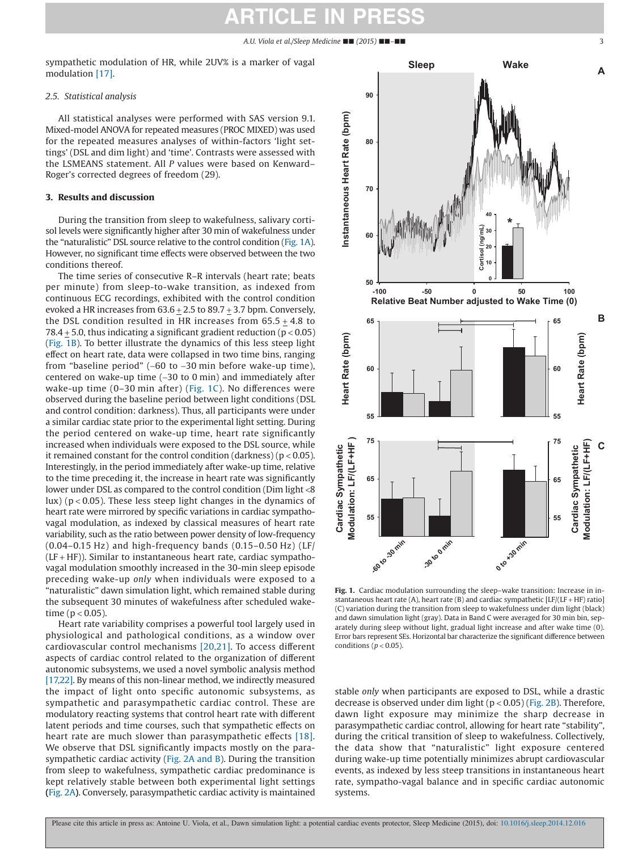sympathetic modulation of HR, while 2UV% is a marker of vagal modulation [\[17\].](#page-4-1)

### *2.5. Statistical analysis*

All statistical analyses were performed with SAS version 9.1. Mixed-model ANOVA for repeated measures (PROC MIXED) was used for the repeated measures analyses of within-factors 'light settings' (DSL and dim light) and 'time'. Contrasts were assessed with the LSMEANS statement. All *P* values were based on Kenward– Roger's corrected degrees of freedom (29).

### **3. Results and discussion**

During the transition from sleep to wakefulness, salivary cortisol levels were significantly higher after 30 min of wakefulness under the "naturalistic" DSL source relative to the control condition (Fig. 1A). However, no significant time effects were observed between the two conditions thereof.

The time series of consecutive R–R intervals (heart rate; beats per minute) from sleep-to-wake transition, as indexed from continuous ECG recordings, exhibited with the control condition evoked a HR increases from  $63.6 \pm 2.5$  to  $89.7 \pm 3.7$  bpm. Conversely, the DSL condition resulted in HR increases from 65.5 + 4.8 to 78.4  $\pm$  5.0, thus indicating a significant gradient reduction (p < 0.05) (Fig. 1B). To better illustrate the dynamics of this less steep light effect on heart rate, data were collapsed in two time bins, ranging from "baseline period" (−60 to −30 min before wake-up time), centered on wake-up time (−30 to 0 min) and immediately after wake-up time (0–30 min after) (Fig. 1C). No differences were observed during the baseline period between light conditions (DSL and control condition: darkness). Thus, all participants were under a similar cardiac state prior to the experimental light setting. During the period centered on wake-up time, heart rate significantly increased when individuals were exposed to the DSL source, while it remained constant for the control condition (darkness) ( $p < 0.05$ ). Interestingly, in the period immediately after wake-up time, relative to the time preceding it, the increase in heart rate was significantly lower under DSL as compared to the control condition (Dim light <8 lux) ( $p < 0.05$ ). These less steep light changes in the dynamics of heart rate were mirrored by specific variations in cardiac sympathovagal modulation, as indexed by classical measures of heart rate variability, such as the ratio between power density of low-frequency (0.04–0.15 Hz) and high-frequency bands (0.15–0.50 Hz) (LF/  $(LF + HF)$ ). Similar to instantaneous heart rate, cardiac sympathovagal modulation smoothly increased in the 30-min sleep episode preceding wake-up *only* when individuals were exposed to a "naturalistic" dawn simulation light, which remained stable during the subsequent 30 minutes of wakefulness after scheduled waketime ( $p < 0.05$ ).

Heart rate variability comprises a powerful tool largely used in physiological and pathological conditions, as a window over cardiovascular control mechanisms [\[20,21\].](#page-4-4) To access different aspects of cardiac control related to the organization of different autonomic subsystems, we used a novel symbolic analysis method [\[17,22\].](#page-4-1) By means of this non-linear method, we indirectly measured the impact of light onto specific autonomic subsystems, as sympathetic and parasympathetic cardiac control. These are modulatory reacting systems that control heart rate with different latent periods and time courses, such that sympathetic effects on heart rate are much slower than parasympathetic effects [\[18\].](#page-4-3) We observe that DSL significantly impacts mostly on the parasympathetic cardiac activity (Fig. 2A and B). During the transition from sleep to wakefulness, sympathetic cardiac predominance is kept relatively stable between both experimental light settings **(**Fig. 2A**)**. Conversely, parasympathetic cardiac activity is maintained



**Fig. 1.** Cardiac modulation surrounding the sleep–wake transition: Increase in instantaneous heart rate (A), heart rate (B) and cardiac sympathetic  $[LF/(LF + HF)$  ratio] (C) variation during the transition from sleep to wakefulness under dim light (black) and dawn simulation light (gray). Data in Band C were averaged for 30 min bin, separately during sleep without light, gradual light increase and after wake time (0). Error bars represent SEs. Horizontal bar characterize the significant difference between conditions ( $p < 0.05$ ).

stable *only* when participants are exposed to DSL, while a drastic decrease is observed under dim light ( $p < 0.05$ ) (Fig. 2B). Therefore, dawn light exposure may minimize the sharp decrease in parasympathetic cardiac control, allowing for heart rate "stability", during the critical transition of sleep to wakefulness. Collectively, the data show that "naturalistic" light exposure centered during wake-up time potentially minimizes abrupt cardiovascular events, as indexed by less steep transitions in instantaneous heart rate, sympatho-vagal balance and in specific cardiac autonomic systems.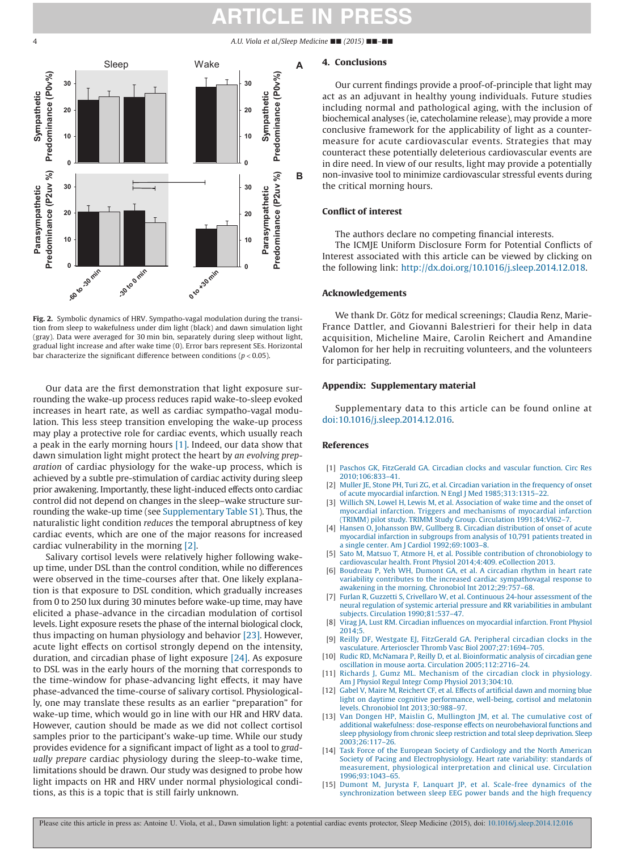



**Fig. 2.** Symbolic dynamics of HRV. Sympatho-vagal modulation during the transition from sleep to wakefulness under dim light (black) and dawn simulation light (gray). Data were averaged for 30 min bin, separately during sleep without light, gradual light increase and after wake time (0). Error bars represent SEs. Horizontal bar characterize the significant difference between conditions (*p* < 0.05).

Our data are the first demonstration that light exposure surrounding the wake-up process reduces rapid wake-to-sleep evoked increases in heart rate, as well as cardiac sympatho-vagal modulation. This less steep transition enveloping the wake-up process may play a protective role for cardiac events, which usually reach a peak in the early morning hours [\[1\].](#page-3-0) Indeed, our data show that dawn simulation light might protect the heart by *an evolving preparation* of cardiac physiology for the wake-up process, which is achieved by a subtle pre-stimulation of cardiac activity during sleep prior awakening. Importantly, these light-induced effects onto cardiac control did not depend on changes in the sleep–wake structure surrounding the wake-up time (see Supplementary Table S1). Thus, the naturalistic light condition *reduces* the temporal abruptness of key cardiac events, which are one of the major reasons for increased cardiac vulnerability in the morning [\[2\].](#page-3-8)

Salivary cortisol levels were relatively higher following wakeup time, under DSL than the control condition, while no differences were observed in the time-courses after that. One likely explanation is that exposure to DSL condition, which gradually increases from 0 to 250 lux during 30 minutes before wake-up time, may have elicited a phase-advance in the circadian modulation of cortisol levels. Light exposure resets the phase of the internal biological clock, thus impacting on human physiology and behavior [\[23\].](#page-4-5) However, acute light effects on cortisol strongly depend on the intensity, duration, and circadian phase of light exposure [\[24\].](#page-4-6) As exposure to DSL was in the early hours of the morning that corresponds to the time-window for phase-advancing light effects, it may have phase-advanced the time-course of salivary cortisol. Physiologically, one may translate these results as an earlier "preparation" for wake-up time, which would go in line with our HR and HRV data. However, caution should be made as we did not collect cortisol samples prior to the participant's wake-up time. While our study provides evidence for a significant impact of light as a tool to *gradually prepare* cardiac physiology during the sleep-to-wake time, limitations should be drawn. Our study was designed to probe how light impacts on HR and HRV under normal physiological conditions, as this is a topic that is still fairly unknown.

### **4. Conclusions**

Our current findings provide a proof-of-principle that light may act as an adjuvant in healthy young individuals. Future studies including normal and pathological aging, with the inclusion of biochemical analyses (ie, catecholamine release), may provide a more conclusive framework for the applicability of light as a countermeasure for acute cardiovascular events. Strategies that may counteract these potentially deleterious cardiovascular events are in dire need. In view of our results, light may provide a potentially non-invasive tool to minimize cardiovascular stressful events during the critical morning hours.

### **Conflict of interest**

The authors declare no competing financial interests.

The ICMJE Uniform Disclosure Form for Potential Conflicts of Interest associated with this article can be viewed by clicking on the following link: [http://dx.doi.org/10.1016/j.sleep.2014.12.018.](http://dx.doi.org/10.1016/j.sleep.2014.12.018)

### **Acknowledgements**

We thank Dr. Götz for medical screenings; Claudia Renz, Marie-France Dattler, and Giovanni Balestrieri for their help in data acquisition, Micheline Maire, Carolin Reichert and Amandine Valomon for her help in recruiting volunteers, and the volunteers for participating.

### **Appendix: Supplementary material**

Supplementary data to this article can be found online at [doi:10.1016/j.sleep.2014.12.016.](http://dx.doi.org/10.1016/j.sleep.2014.12.016)

### **References**

- <span id="page-3-0"></span>[1] [Paschos GK, FitzGerald GA. Circadian clocks and vascular function. Circ Res](http://refhub.elsevier.com/S1389-9457(15)00090-8/sr0010") [2010;106:833–41.](http://refhub.elsevier.com/S1389-9457(15)00090-8/sr0010")
- <span id="page-3-8"></span>[2] [Muller JE, Stone PH, Turi ZG, et al. Circadian variation in the frequency of onset](http://refhub.elsevier.com/S1389-9457(15)00090-8/sr0015") [of acute myocardial infarction. N Engl J Med 1985;313:1315–22.](http://refhub.elsevier.com/S1389-9457(15)00090-8/sr0015")
- <span id="page-3-9"></span>[3] [Willich SN, Lowel H, Lewis M, et al. Association of wake time and the onset of](http://refhub.elsevier.com/S1389-9457(15)00090-8/sr0020") [myocardial infarction. Triggers and mechanisms of myocardial infarction](http://refhub.elsevier.com/S1389-9457(15)00090-8/sr0020") [\(TRIMM\) pilot study. TRIMM Study Group. Circulation 1991;84:VI62–7.](http://refhub.elsevier.com/S1389-9457(15)00090-8/sr0020")
- <span id="page-3-1"></span>[Hansen O, Johansson BW, Gullberg B. Circadian distribution of onset of acute](http://refhub.elsevier.com/S1389-9457(15)00090-8/sr0025") [myocardial infarction in subgroups from analysis of 10,791 patients treated in](http://refhub.elsevier.com/S1389-9457(15)00090-8/sr0025") [a single center. Am J Cardiol 1992;69:1003–8.](http://refhub.elsevier.com/S1389-9457(15)00090-8/sr0025")
- <span id="page-3-2"></span>[5] [Sato M, Matsuo T, Atmore H, et al. Possible contribution of chronobiology to](http://refhub.elsevier.com/S1389-9457(15)00090-8/sr0030") [cardiovascular health. Front Physiol 2014;4:409. eCollection 2013.](http://refhub.elsevier.com/S1389-9457(15)00090-8/sr0030")
- <span id="page-3-3"></span>[6] [Boudreau P, Yeh WH, Dumont GA, et al. A circadian rhythm in heart rate](http://refhub.elsevier.com/S1389-9457(15)00090-8/sr0035") [variability contributes to the increased cardiac sympathovagal response to](http://refhub.elsevier.com/S1389-9457(15)00090-8/sr0035") [awakening in the morning. Chronobiol Int 2012;29:757–68.](http://refhub.elsevier.com/S1389-9457(15)00090-8/sr0035")
- [Furlan R, Guzzetti S, Crivellaro W, et al. Continuous 24-hour assessment of the](http://refhub.elsevier.com/S1389-9457(15)00090-8/sr0040") [neural regulation of systemic arterial pressure and RR variabilities in ambulant](http://refhub.elsevier.com/S1389-9457(15)00090-8/sr0040") [subjects. Circulation 1990;81:537–47.](http://refhub.elsevier.com/S1389-9457(15)00090-8/sr0040")
- <span id="page-3-4"></span>[8] [Virag JA, Lust RM. Circadian influences on myocardial infarction. Front Physiol](http://refhub.elsevier.com/S1389-9457(15)00090-8/sr0045") [2014;5.](http://refhub.elsevier.com/S1389-9457(15)00090-8/sr0045")
- <span id="page-3-5"></span>[9] [Reilly DF, Westgate EJ, FitzGerald GA. Peripheral circadian clocks in the](http://refhub.elsevier.com/S1389-9457(15)00090-8/sr0050") [vasculature. Arterioscler Thromb Vasc Biol 2007;27:1694–705.](http://refhub.elsevier.com/S1389-9457(15)00090-8/sr0050")
- <span id="page-3-6"></span>[10] [Rudic RD, McNamara P, Reilly D, et al. Bioinformatic analysis of circadian gene](http://refhub.elsevier.com/S1389-9457(15)00090-8/sr0055") [oscillation in mouse aorta. Circulation 2005;112:2716–24.](http://refhub.elsevier.com/S1389-9457(15)00090-8/sr0055")
- <span id="page-3-7"></span>[11] [Richards J, Gumz ML. Mechanism of the circadian clock in physiology.](http://refhub.elsevier.com/S1389-9457(15)00090-8/sr0060") [Am J Physiol Regul Integr Comp Physiol 2013;304:10.](http://refhub.elsevier.com/S1389-9457(15)00090-8/sr0060")
- <span id="page-3-10"></span>[12] [Gabel V, Maire M, Reichert CF, et al. Effects of artificial dawn and morning blue](http://refhub.elsevier.com/S1389-9457(15)00090-8/sr0065") [light on daytime cognitive performance, well-being, cortisol and melatonin](http://refhub.elsevier.com/S1389-9457(15)00090-8/sr0065") [levels. Chronobiol Int 2013;30:988–97.](http://refhub.elsevier.com/S1389-9457(15)00090-8/sr0065")
- <span id="page-3-11"></span>[13] [Van Dongen HP, Maislin G, Mullington JM, et al. The cumulative cost of](http://refhub.elsevier.com/S1389-9457(15)00090-8/sr0070") [additional wakefulness: dose-response effects on neurobehavioral functions and](http://refhub.elsevier.com/S1389-9457(15)00090-8/sr0070") [sleep physiology from chronic sleep restriction and total sleep deprivation. Sleep](http://refhub.elsevier.com/S1389-9457(15)00090-8/sr0070") [2003;26:117–26.](http://refhub.elsevier.com/S1389-9457(15)00090-8/sr0070")
- <span id="page-3-12"></span>[14] [Task Force of the European Society of Cardiology and the North American](http://refhub.elsevier.com/S1389-9457(15)00090-8/sr0075") [Society of Pacing and Electrophysiology. Heart rate variability: standards of](http://refhub.elsevier.com/S1389-9457(15)00090-8/sr0075") [measurement, physiological interpretation and clinical use. Circulation](http://refhub.elsevier.com/S1389-9457(15)00090-8/sr0075") [1996;93:1043–65.](http://refhub.elsevier.com/S1389-9457(15)00090-8/sr0075")
- <span id="page-3-13"></span>[15] [Dumont M, Jurysta F, Lanquart JP, et al. Scale-free dynamics of the](http://refhub.elsevier.com/S1389-9457(15)00090-8/sr0080") [synchronization between sleep EEG power bands and the high frequency](http://refhub.elsevier.com/S1389-9457(15)00090-8/sr0080")